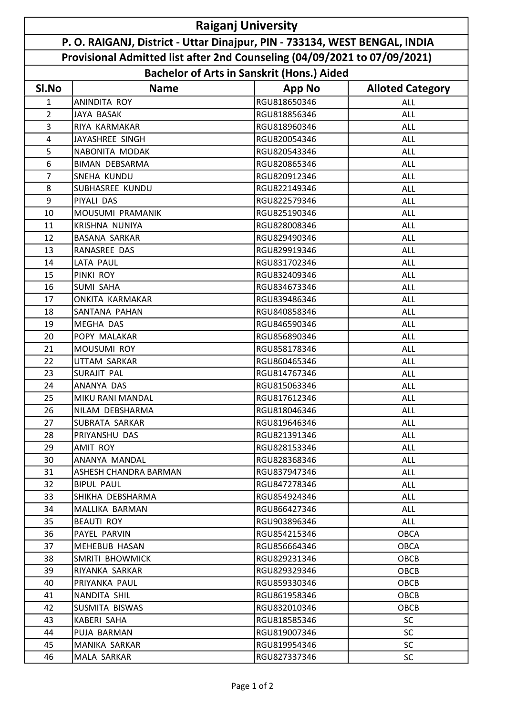| <b>Raiganj University</b>                                                  |                        |               |                         |  |  |  |
|----------------------------------------------------------------------------|------------------------|---------------|-------------------------|--|--|--|
| P. O. RAIGANJ, District - Uttar Dinajpur, PIN - 733134, WEST BENGAL, INDIA |                        |               |                         |  |  |  |
| Provisional Admitted list after 2nd Counseling (04/09/2021 to 07/09/2021)  |                        |               |                         |  |  |  |
| <b>Bachelor of Arts in Sanskrit (Hons.) Aided</b>                          |                        |               |                         |  |  |  |
| SI.No                                                                      | <b>Name</b>            | <b>App No</b> | <b>Alloted Category</b> |  |  |  |
| 1                                                                          | <b>ANINDITA ROY</b>    | RGU818650346  | <b>ALL</b>              |  |  |  |
| $\overline{2}$                                                             | JAYA BASAK             | RGU818856346  | <b>ALL</b>              |  |  |  |
| 3                                                                          | RIYA KARMAKAR          | RGU818960346  | ALL                     |  |  |  |
| $\overline{4}$                                                             | JAYASHREE SINGH        | RGU820054346  | ALL                     |  |  |  |
| 5                                                                          | NABONITA MODAK         | RGU820543346  | ALL                     |  |  |  |
| 6                                                                          | <b>BIMAN DEBSARMA</b>  | RGU820865346  | ALL                     |  |  |  |
| $\overline{7}$                                                             | SNEHA KUNDU            | RGU820912346  | ALL                     |  |  |  |
| 8                                                                          | <b>SUBHASREE KUNDU</b> | RGU822149346  | <b>ALL</b>              |  |  |  |
| 9                                                                          | PIYALI DAS             | RGU822579346  | <b>ALL</b>              |  |  |  |
| 10                                                                         | MOUSUMI PRAMANIK       | RGU825190346  | ALL                     |  |  |  |
| 11                                                                         | KRISHNA NUNIYA         | RGU828008346  | <b>ALL</b>              |  |  |  |
| 12                                                                         | <b>BASANA SARKAR</b>   | RGU829490346  | ALL                     |  |  |  |
| 13                                                                         | RANASREE DAS           | RGU829919346  | <b>ALL</b>              |  |  |  |
| 14                                                                         | <b>LATA PAUL</b>       | RGU831702346  | <b>ALL</b>              |  |  |  |
| 15                                                                         | PINKI ROY              | RGU832409346  | <b>ALL</b>              |  |  |  |
| 16                                                                         | <b>SUMI SAHA</b>       | RGU834673346  | <b>ALL</b>              |  |  |  |
| 17                                                                         | <b>ONKITA KARMAKAR</b> | RGU839486346  | ALL                     |  |  |  |
| 18                                                                         | SANTANA PAHAN          | RGU840858346  | ALL                     |  |  |  |
| 19                                                                         | <b>MEGHA DAS</b>       | RGU846590346  | ALL                     |  |  |  |
| 20                                                                         | POPY MALAKAR           | RGU856890346  | <b>ALL</b>              |  |  |  |
| 21                                                                         | MOUSUMI ROY            | RGU858178346  | ALL                     |  |  |  |
| 22                                                                         | UTTAM SARKAR           | RGU860465346  | ALL                     |  |  |  |
| 23                                                                         | SURAJIT PAL            | RGU814767346  | ALL                     |  |  |  |
| 24                                                                         | ANANYA DAS             | RGU815063346  | ALL                     |  |  |  |
| 25                                                                         | MIKU RANI MANDAL       | RGU817612346  | ALL                     |  |  |  |
| 26                                                                         | NILAM DEBSHARMA        | RGU818046346  | <b>ALL</b>              |  |  |  |
| 27                                                                         | SUBRATA SARKAR         | RGU819646346  | ALL                     |  |  |  |
| 28                                                                         | PRIYANSHU DAS          | RGU821391346  | <b>ALL</b>              |  |  |  |
| 29                                                                         | AMIT ROY               | RGU828153346  | <b>ALL</b>              |  |  |  |
| 30                                                                         | ANANYA MANDAL          | RGU828368346  | <b>ALL</b>              |  |  |  |
| 31                                                                         | ASHESH CHANDRA BARMAN  | RGU837947346  | <b>ALL</b>              |  |  |  |
| 32                                                                         | <b>BIPUL PAUL</b>      | RGU847278346  | ALL                     |  |  |  |
| 33                                                                         | SHIKHA DEBSHARMA       | RGU854924346  | ALL                     |  |  |  |
| 34                                                                         | MALLIKA BARMAN         | RGU866427346  | <b>ALL</b>              |  |  |  |
| 35                                                                         | BEAUTI ROY             | RGU903896346  | <b>ALL</b>              |  |  |  |
| 36                                                                         | PAYEL PARVIN           | RGU854215346  | <b>OBCA</b>             |  |  |  |
| 37                                                                         | MEHEBUB HASAN          | RGU856664346  | <b>OBCA</b>             |  |  |  |
| 38                                                                         | SMRITI BHOWMICK        | RGU829231346  | OBCB                    |  |  |  |
| 39                                                                         | RIYANKA SARKAR         | RGU829329346  | OBCB                    |  |  |  |
| 40                                                                         | PRIYANKA PAUL          | RGU859330346  | OBCB                    |  |  |  |
| 41                                                                         | NANDITA SHIL           | RGU861958346  | OBCB                    |  |  |  |
| 42                                                                         | SUSMITA BISWAS         | RGU832010346  | OBCB                    |  |  |  |
| 43                                                                         | KABERI SAHA            | RGU818585346  | <b>SC</b>               |  |  |  |
| 44                                                                         | PUJA BARMAN            | RGU819007346  | <b>SC</b>               |  |  |  |
| 45                                                                         | MANIKA SARKAR          | RGU819954346  | <b>SC</b>               |  |  |  |
| 46                                                                         | MALA SARKAR            | RGU827337346  | <b>SC</b>               |  |  |  |